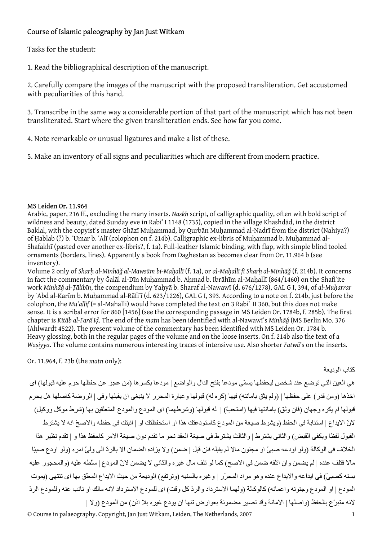## Course of Islamic paleography by Jan Just Witkam

Tasks for the student:

1. Read the bibliographical description of the manuscript.

2. Carefully compare the images of the manuscript with the proposed transliteration. Get accustomed with peculiarities of this hand.

3. Transcribe in the same way a considerable portion of that part of the manuscript which has not been transliterated. Start where the given transliteration ends. See how far you come.

4. Note remarkable or unusual ligatures and make a list of these.

5. Make an inventory of all signs and peculiarities which are different from modern practice.

## MS Leiden Or. 11.964

Arabic, paper, 216 ff., excluding the many inserts. *Naskh* script, of calligraphic quality, often with bold script of wildness and beauty, dated Sunday eve in Rabīʿ I 1148 (1735), copied in the village Khashdād, in the district Baklal, with the copyist's master Ghāzī Muhammad, by Qurbān Muhammad al-Nadrī from the district (Nahiya?) of Ḥablab (?) b. ʿUmar b. ʿAlī (colophon on f. 214b). Calligraphic ex-libris of Muḥammad b. Muḥammad al-Shafakhī (pasted over another ex-libris?, f. 1a). Full-leather Islamic binding, with flap, with simple blind tooled ornaments (borders, lines). Apparently a book from Daghestan as becomes clear from Or. 11.964 b (see inventory).

Volume 2 only of Sharh al-Minhāǧ al-Mawsūm bi-Mahallī (f. 1a), or al-Mahallī fi Sharh al-Minhāǧ (f. 214b). It concerns in fact the commentary by Galāl al-Dīn Muḥammad b. Aḥmad b. Ibrāḥīm al-Maḥallī (864/1460) on the Shafiʻite work *Minhāǧ al-Ṭālibīn*, the compendium by Yaḥyā b. Sharaf al-Nawawī (d. 676/1278), GAL G I, 394, of *al-Muḥarrar* by ʿAbd al-Karīm b. Muḥammad al-Rāfiʿī (d. 623/1226), GAL G I, 393. According to a note on f. 214b, just before the colophon, the *Muʾallif* (= al-Mahalli) would have completed the text on 3 Rabi` II 360, but this does not make sense. It is a scribal error for 860 [1456] (see the corresponding passage in MS Leiden Or. 1784b, f. 285b). The first chapter is *Kitāb al-FarāʾIḍ*. The end of the *matn* has been identified with al-Nawawī's *Minhāǧ* (MS Berlin Mo. 376 (Ahlwardt 4522). The present volume of the commentary has been identified with MS Leiden Or. 1784 b. Heavy glossing, both in the regular pages of the volume and on the loose inserts. On f. 214b also the text of a *Waṣiyya*. The volume contains numerous interesting traces of intensive use. Also shorter *Fatwā*'s on the inserts.

Or. 11.964, f. 23b (the *matn* only):

آتاب الوديعة

هي العين التي توضع عند شخص ليحفظها يسمّى مودعا بفتح الدال والواضع | مودعا بكسرها (من عجز عن حفظها حرم عليه قبولها) اى اخذها (ومن قدر) على حفظها | (ولم يثق بامانته) فيها (كره له) قبولها وعبارة المحرر لا ينبغي ان يقبلها وفى | الروضة كاصلها هل يحرم قبولها ام يكره وجهان (فان وثق) بامانتها فيها (استحبّ) | له قبولها (وشرطهما) اى المودع والمودع المتعلقين بها (شرط موكل ووكيل) لانّ الايداع | استنابة فى الحفظ (ويشرط صيغة من المودع كاستودعتك هذا او استحفظتك او | انبتك فى حفظه والاصحّ انه لا يشترط القبول لفظا ويكفى القبض) والثانى يشترط | والثالث يشترط فى صيغة العقد نحو ما تقدم دون صيغة الامر كاحفظ هذا و | تقدم نظير هذا الخلاف فى الوآالة (ولو اودعه صبىّ او مجنون مالا لم يقبله فان قبل | ضمن) ولا يزاده الضمان الا بالردّ الى ولىّ امره (ولو اودع صبيّا مالا فتلف عنده | لم يضمن وان اتلفه ضمن فى الاصح) آما لو تلف مال غيره والثانى لا يضمن لانّ المودع | سلّطه عليه (والمحجور عليه بسنه كصبيّ) فى ايداعه والايداع عنده و هو مراد المحرّر | وغير ه بالسنيه (وترتفع) الوديعة من حيث الايداع المعلّق بها اى تنتهى (يموت المودع | او المودع وجنونه واعمائه) كالوكالة (ولهما الاسترداد والردّ كل وقت) اى للمودع الاسترداد لانه مالك او نائب عنه وللمودع الردّ لانه متبرّع بالحفظ (واصلها | الامانة وقد تصير مضمونة بعوارض تنها ان يودع غيره بلا اذن) من المودع (ولا |

© Course in palaeography. Copyright, Jan Just Witkam, Leiden, The Netherlands, 2007 1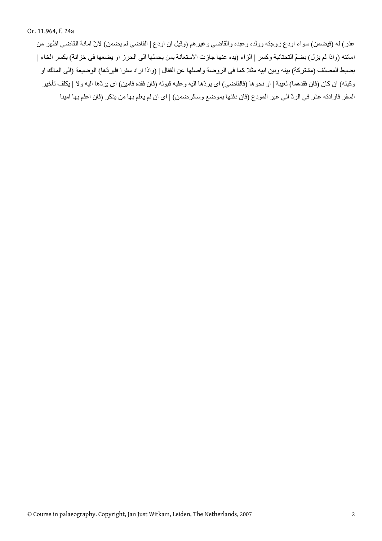عذر) له (فيضمن) سواء اودع زوجته وولده وعبده والقاضى وغيرهم (وقيل ان اودع | القاضى لم يضمن) لانّ امانة القاضى اظهر من امانته (واذا لم يزل) بضمّ التحتانية وكسر | الزاء (يده عنها جازت الاستعانة بمن يحملها الى الحرز او يضعها فى خزانة) بكسر الخاء | بضبط المصنّف (مشتركة) بينه وبين ابيه مثلا كما فى الروضة واصلها عن القفال | (واذا اراد سفرا فليردّها) الوضيعة (الى المالك او وكيله) ان كان (فان فقدهما) لغيبة | او نحوها (فالقاضى) اى يردّها اليه وعليه قبوله (فان فقده فامين) اى يردّها اليه ولا | يكلّف تأخير السفر فارادته عذر فى الردّ الى غير المودع (فان دفنها بموضع وسافرضمن) | اى ان لم يعلم بها من يذكر (فان اعلم بها امينا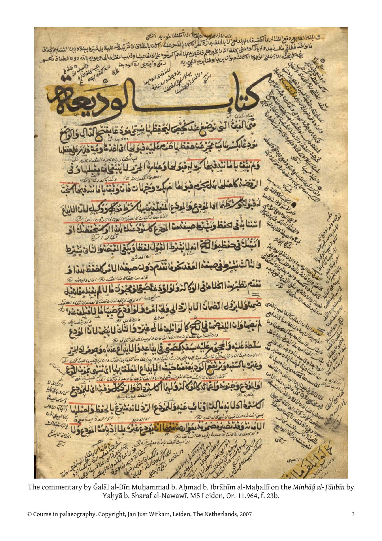خان الازدى بيد النابى اذاتى تفار الذوبه المنبى ى باينتراللاد بع وفع الفلالم عالى تسروف المارد والتحقيق المحادث والمحادث و به التصحيح التصحيح المحادث المحادث<br>عالوا فند فطابق ماله يكون والبيتولي باين المحادث بأذ والتراكان بالله وهذه المحادث الطلاق لامتريكه هنا بهذه الم<br> ى الاستخدام من المناسبت العليه في العاملة العلمية بن ذكر توافق الكلان بالله وهذة المحلن بالطلاق لامتريكي هذا عليه بالمصبّرة بدينة<br>عالا الفند خطائي ماله رئيس و المجاز كوه هني بحلت التراخ بن حق خير للهما للهم الريض عالملف مبدان بريد او ذنابريد المعيداله لماذنك د على وأبعاض مع الوديعة - View فبمبر تخلفا  $\circ$ 価  $GQ$  $\overline{2}$ EAUIGUE  $\mathcal{I}$ et

The commentary by Ǧalāl al-Dīn Muḥammad b. Aḥmad b. Ibrāhīm al-Maḥallī on the *Minhāǧ al-Ṭālibīn* by Yaḥyā b. Sharaf al-Nawawī. MS Leiden, Or. 11.964, f. 23b.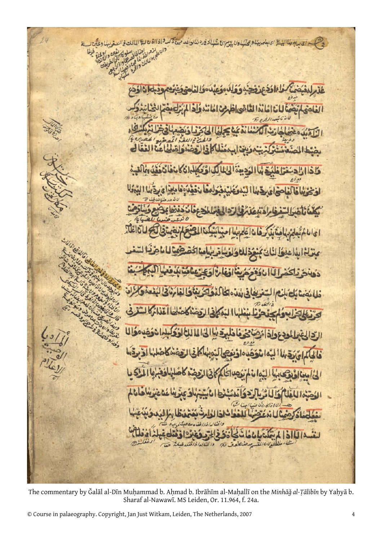اى ربع بدالانتشاء بالعامديها وبحدادا ولا بايع الأملياكة فارد للالحافد من ذكر في 115 ق لا اللالت في السفر بدا وعبن Jec 19 زو  $\mathbf{d}$ 111.0 فلف لنوفا اڏخ Thele لفادلنا  $|2|$ ü. U وانتالها فالغا  $\sigma$ 

The commentary by Ǧalāl al-Dīn Muḥammad b. Aḥmad b. Ibrāhīm al-Maḥallī on the *Minhāǧ al-Ṭālibīn* by Yaḥyā b. Sharaf al-Nawawī. MS Leiden, Or. 11.964, f. 24a.

 $\parallel$